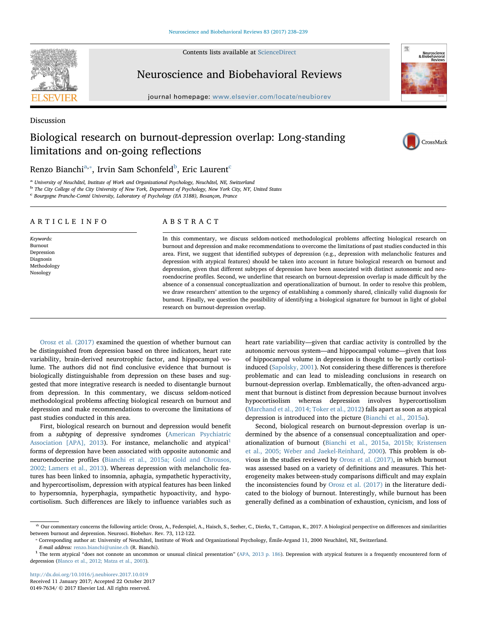Contents lists available at [ScienceDirect](http://www.sciencedirect.com/science/journal/01497634)



Neuroscience and Biobehavioral Reviews

journal homepage: [www.elsevier.com/locate/neubiorev](https://www.elsevier.com/locate/neubiorev)



Discussion

# Biological research on burnout-depression overlap: Long-standing limitations and on-going reflections



## Renzo Bianchi<sup>[a,](#page-0-0)</sup>\*, Irvin Sam Schonfeld<sup>[b](#page-0-2)</sup>, Eri[c](#page-0-3) Laurent<sup>c</sup>

<span id="page-0-0"></span><sup>a</sup> University of Neuchâtel, Institute of Work and Organizational Psychology, Neuchâtel, NE, Switzerland

<span id="page-0-2"></span>b The City College of the City University of New York, Department of Psychology, New York City, NY, United States

<span id="page-0-3"></span><sup>c</sup> Bourgogne Franche-Comté University, Laboratory of Psychology (EA 3188), Besançon, France

### ARTICLE INFO

Keywords: Burnout Depression Diagnosis Methodology Nosology

## ABSTRACT

In this commentary, we discuss seldom-noticed methodological problems affecting biological research on burnout and depression and make recommendations to overcome the limitations of past studies conducted in this area. First, we suggest that identified subtypes of depression (e.g., depression with melancholic features and depression with atypical features) should be taken into account in future biological research on burnout and depression, given that different subtypes of depression have been associated with distinct autonomic and neuroendocrine profiles. Second, we underline that research on burnout-depression overlap is made difficult by the absence of a consensual conceptualization and operationalization of burnout. In order to resolve this problem, we draw researchers' attention to the urgency of establishing a commonly shared, clinically valid diagnosis for burnout. Finally, we question the possibility of identifying a biological signature for burnout in light of global research on burnout-depression overlap.

[Orosz et al. \(2017\)](#page-1-0) examined the question of whether burnout can be distinguished from depression based on three indicators, heart rate variability, brain-derived neurotrophic factor, and hippocampal volume. The authors did not find conclusive evidence that burnout is biologically distinguishable from depression on these bases and suggested that more integrative research is needed to disentangle burnout from depression. In this commentary, we discuss seldom-noticed methodological problems affecting biological research on burnout and depression and make recommendations to overcome the limitations of past studies conducted in this area.

First, biological research on burnout and depression would benefit from a subtyping of depressive syndromes [\(American Psychiatric](#page-1-1) [Association \[APA\], 2013\)](#page-1-1). For instance, melancholic and atypical<sup>[1](#page-0-4)</sup> forms of depression have been associated with opposite autonomic and neuroendocrine profiles ([Bianchi et al., 2015a; Gold and Chrousos,](#page-1-2) [2002; Lamers et al., 2013\)](#page-1-2). Whereas depression with melancholic features has been linked to insomnia, aphagia, sympathetic hyperactivity, and hypercortisolism, depression with atypical features has been linked to hypersomnia, hyperphagia, sympathetic hypoactivity, and hypocortisolism. Such differences are likely to influence variables such as heart rate variability—given that cardiac activity is controlled by the autonomic nervous system—and hippocampal volume—given that loss of hippocampal volume in depression is thought to be partly cortisolinduced ([Sapolsky, 2001\)](#page-1-3). Not considering these differences is therefore problematic and can lead to misleading conclusions in research on burnout-depression overlap. Emblematically, the often-advanced argument that burnout is distinct from depression because burnout involves hypocortisolism whereas depression involves hypercortisolism ([Marchand et al., 2014; Toker et al., 2012\)](#page-1-4) falls apart as soon as atypical depression is introduced into the picture ([Bianchi et al., 2015a\)](#page-1-2).

Second, biological research on burnout-depression overlap is undermined by the absence of a consensual conceptualization and operationalization of burnout [\(Bianchi et al., 2015a, 2015b; Kristensen](#page-1-2) [et al., 2005; Weber and Jaekel-Reinhard, 2000\)](#page-1-2). This problem is obvious in the studies reviewed by [Orosz et al. \(2017\)](#page-1-0), in which burnout was assessed based on a variety of definitions and measures. This heterogeneity makes between-study comparisons difficult and may explain the inconsistencies found by [Orosz et al. \(2017\)](#page-1-0) in the literature dedicated to the biology of burnout. Interestingly, while burnout has been generally defined as a combination of exhaustion, cynicism, and loss of

<http://dx.doi.org/10.1016/j.neubiorev.2017.10.019> Received 11 January 2017; Accepted 22 October 2017 0149-7634/ © 2017 Elsevier Ltd. All rights reserved.

<sup>☆</sup> Our commentary concerns the following article: Orosz, A., Federspiel, A., Haisch, S., Seeher, C., Dierks, T., Cattapan, K., 2017. A biological perspective on differences and similarities between burnout and depression. Neurosci. Biobehav. Rev. 73, 112-122.<br>
\* Corresponding author at: University of Neuchâtel, Institute of Work and Organizational Psychology, Émile-Argand 11, 2000 Neuchâtel, NE, Switzerlan

<span id="page-0-1"></span>

<span id="page-0-4"></span> $E$ -mail address: [renzo.bianchi@unine.ch](mailto:renzo.bianchi@unine.ch) (R. Bianchi).<br><sup>1</sup> The term atypical "does not connote an uncommon or unusual clinical presentation" ([APA, 2013 p. 186](#page-1-1)). Depression with atypical features is a frequently encountere depression [\(Blanco et al., 2012; Matza et al., 2003\)](#page-1-5).